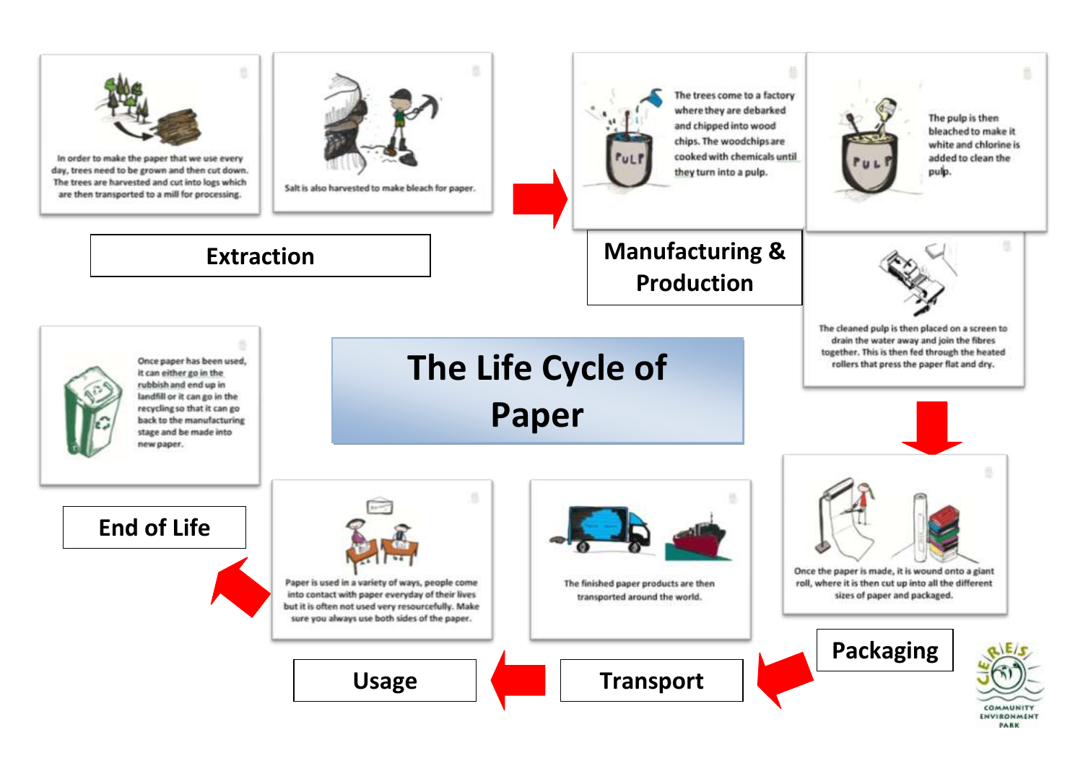

PARK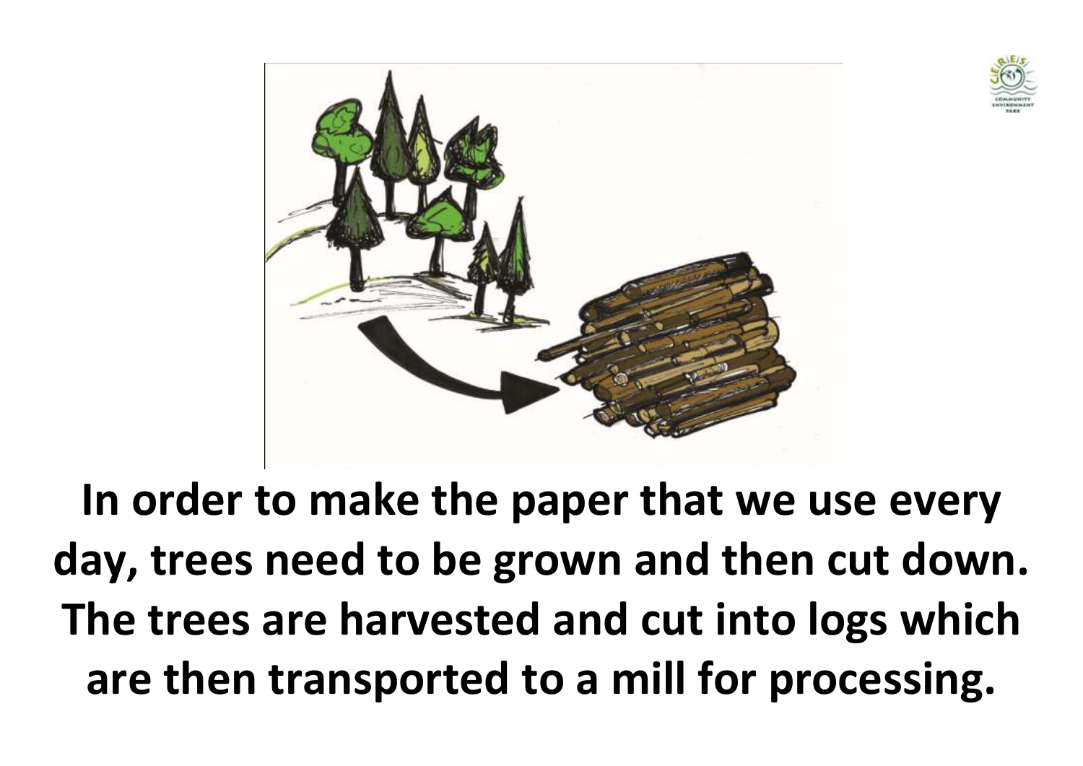



**In order to make the paper that we use every day, trees need to be grown and then cut down. The trees are harvested and cut into logs which are then transported to a mill for processing.**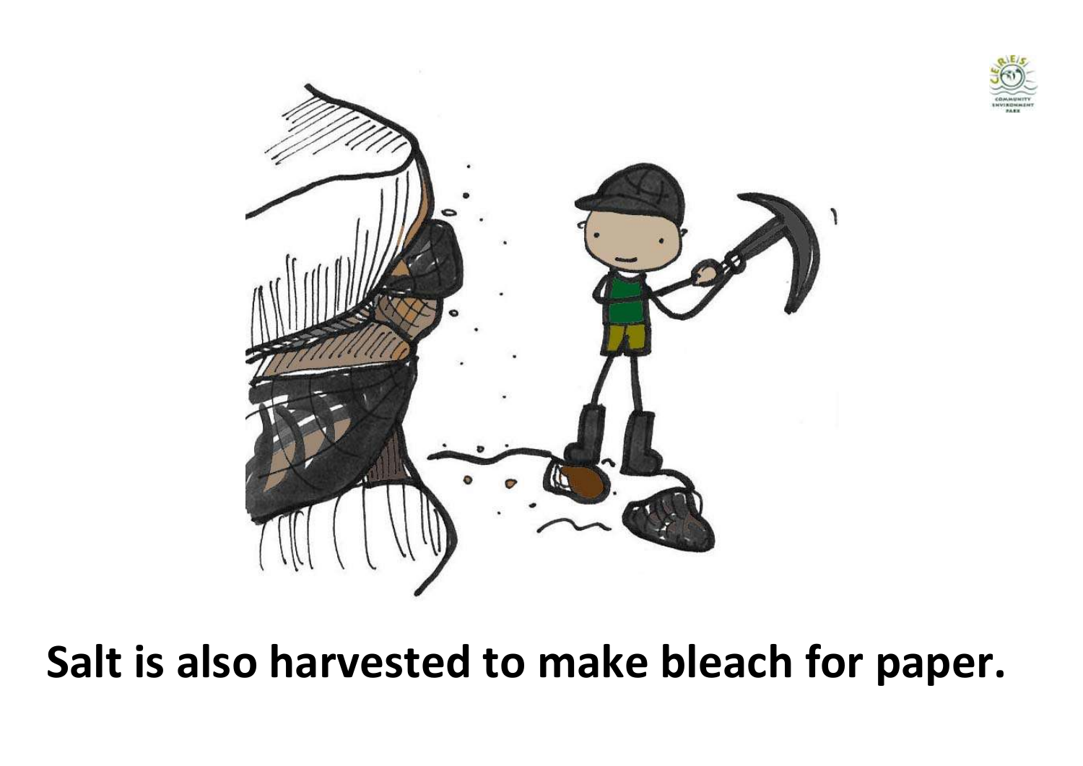



**Salt is also harvested to make bleach for paper.**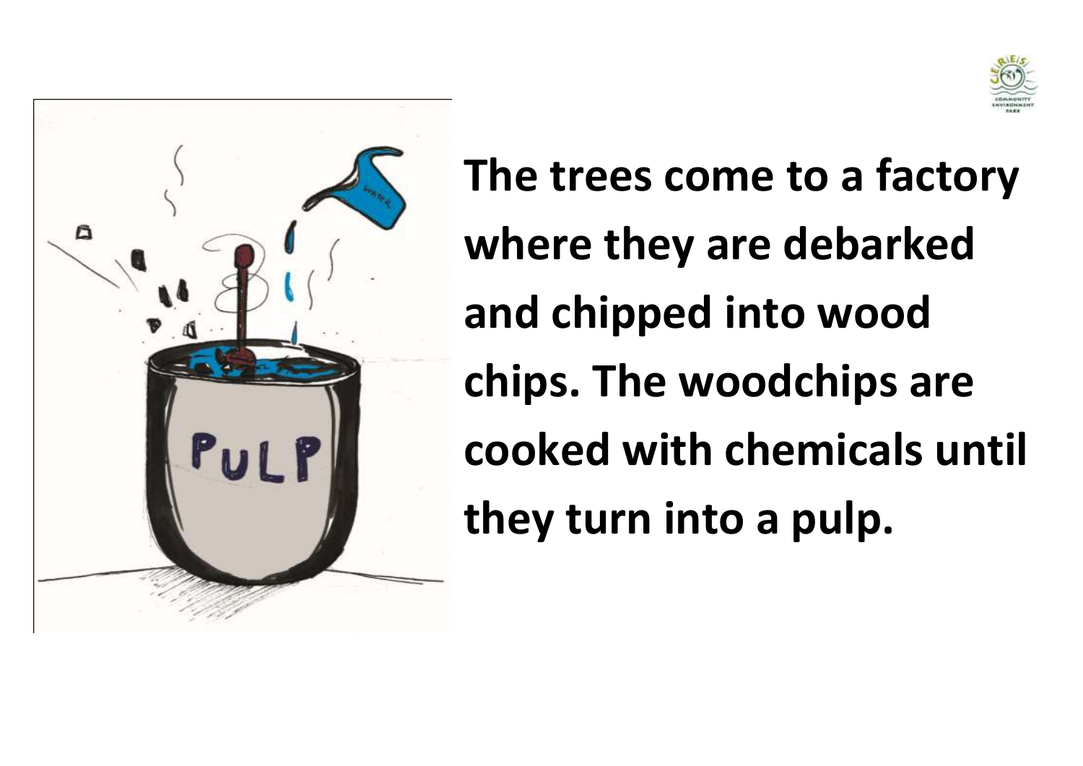



**The trees come to a factory where they are debarked and chipped into wood chips. The woodchips are cooked with chemicals until they turn into a pulp.**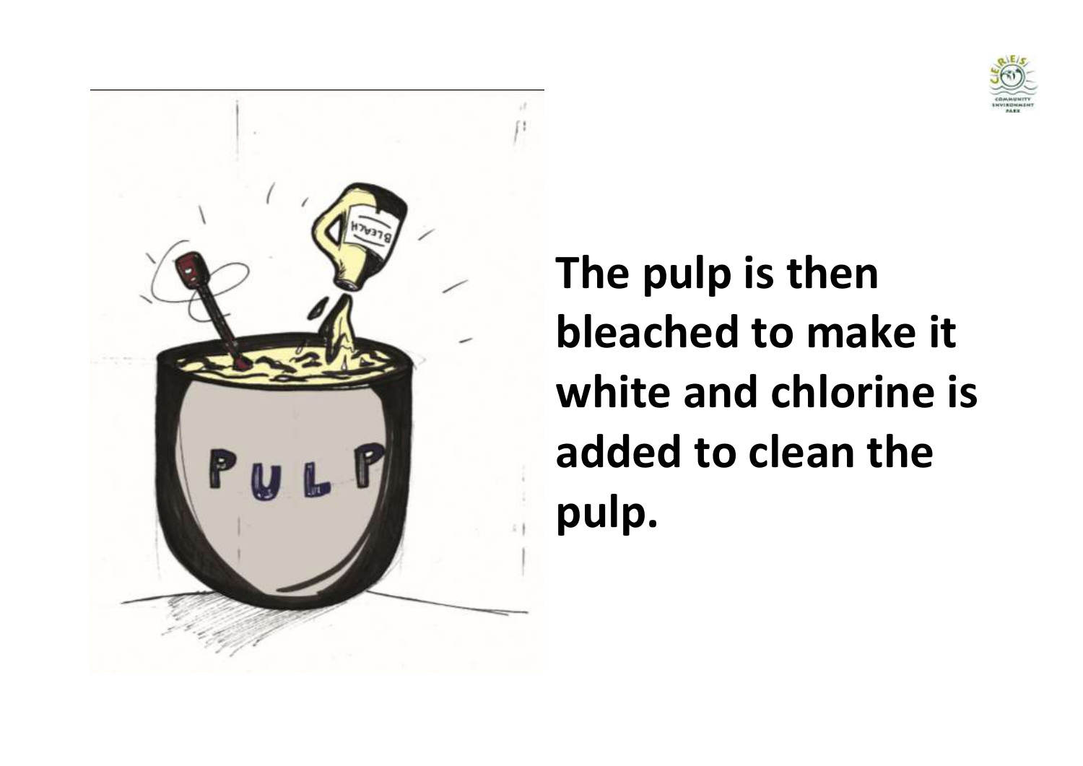



**The pulp is then bleached to make it white and chlorine is added to clean the pulp.**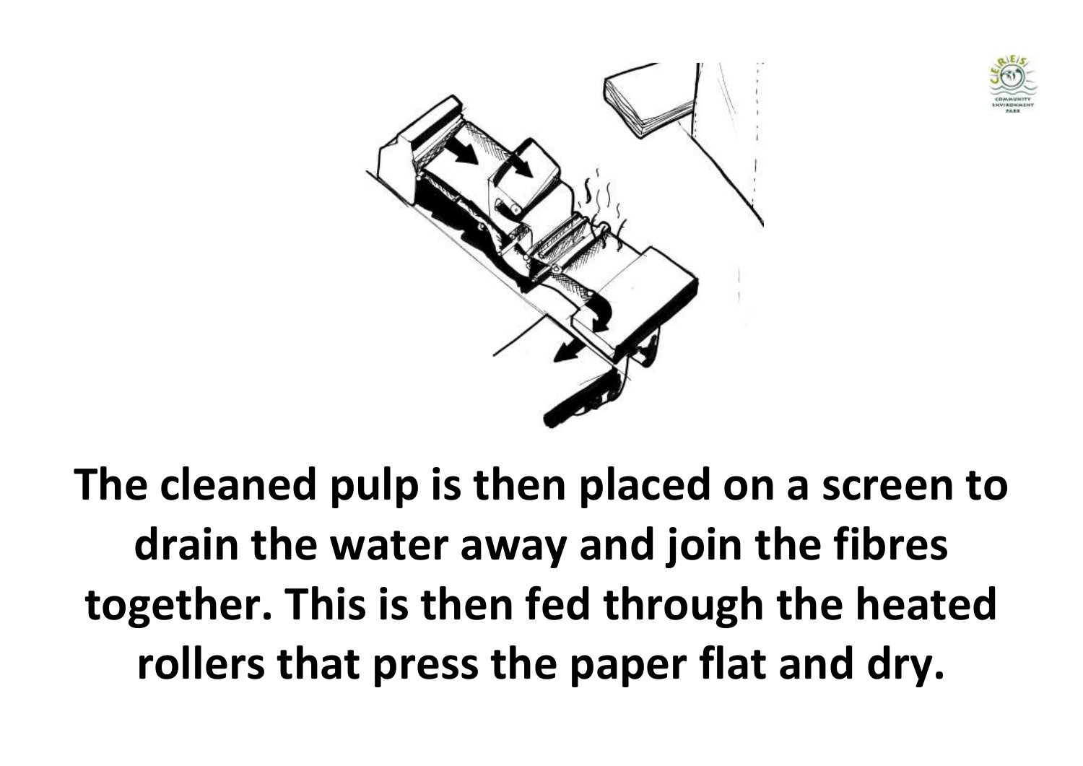



**The cleaned pulp is then placed on a screen to drain the water away and join the fibres together. This is then fed through the heated rollers that press the paper flat and dry.**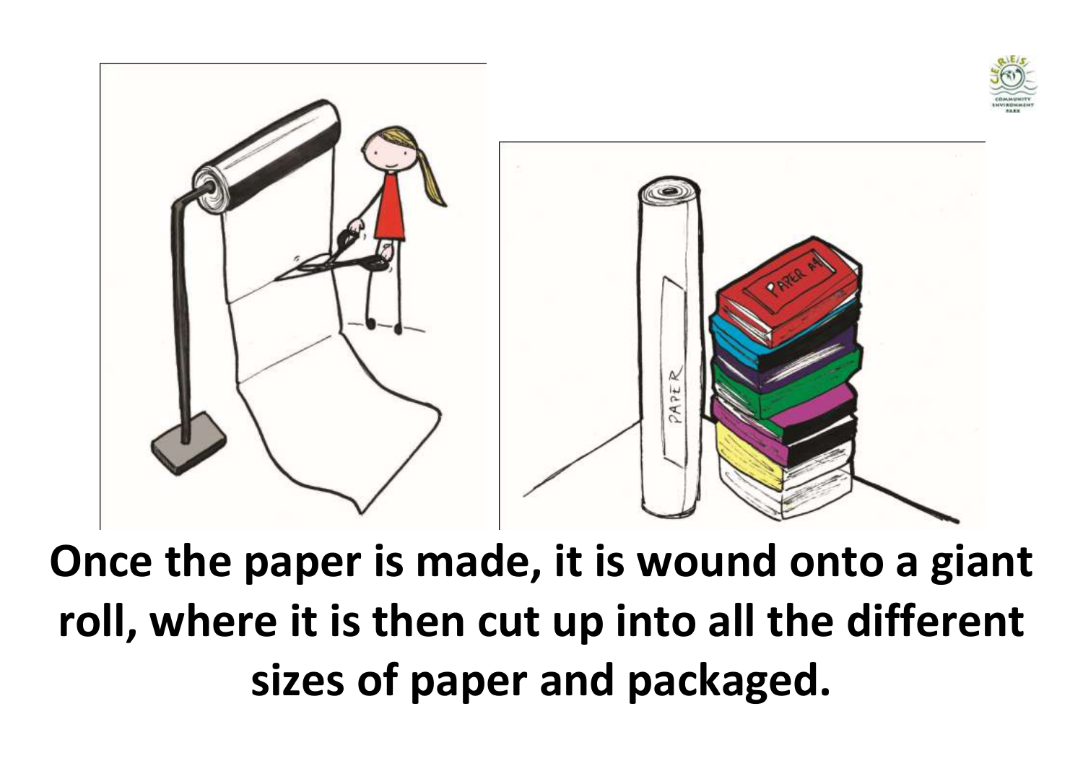

**Once the paper is made, it is wound onto a giant roll, where it is then cut up into all the different sizes of paper and packaged.**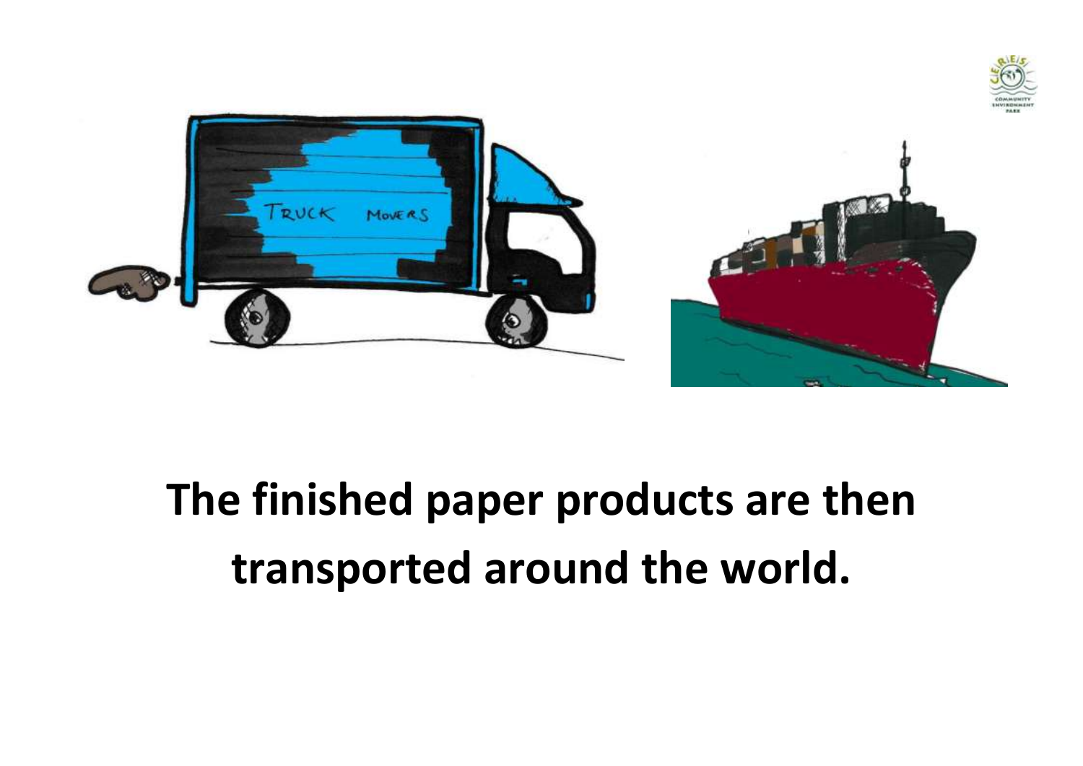



#### **The finished paper products are then transported around the world.**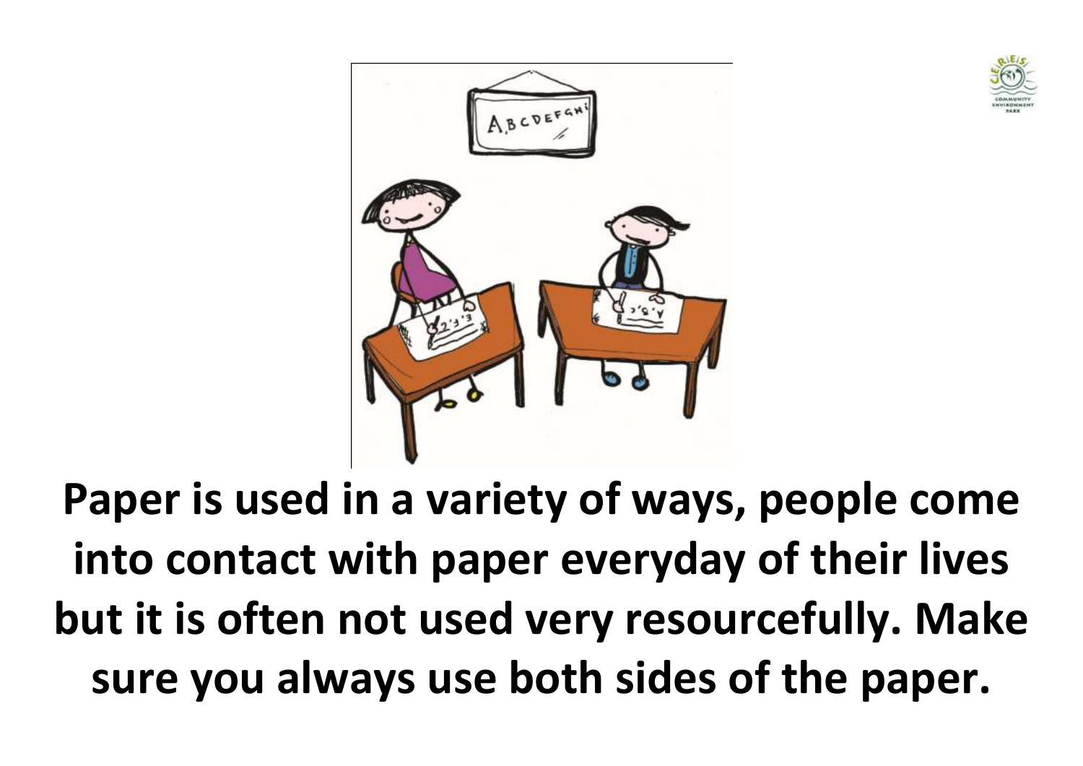



**Paper is used in a variety of ways, people come into contact with paper everyday of their lives but it is often not used very resourcefully. Make sure you always use both sides of the paper.**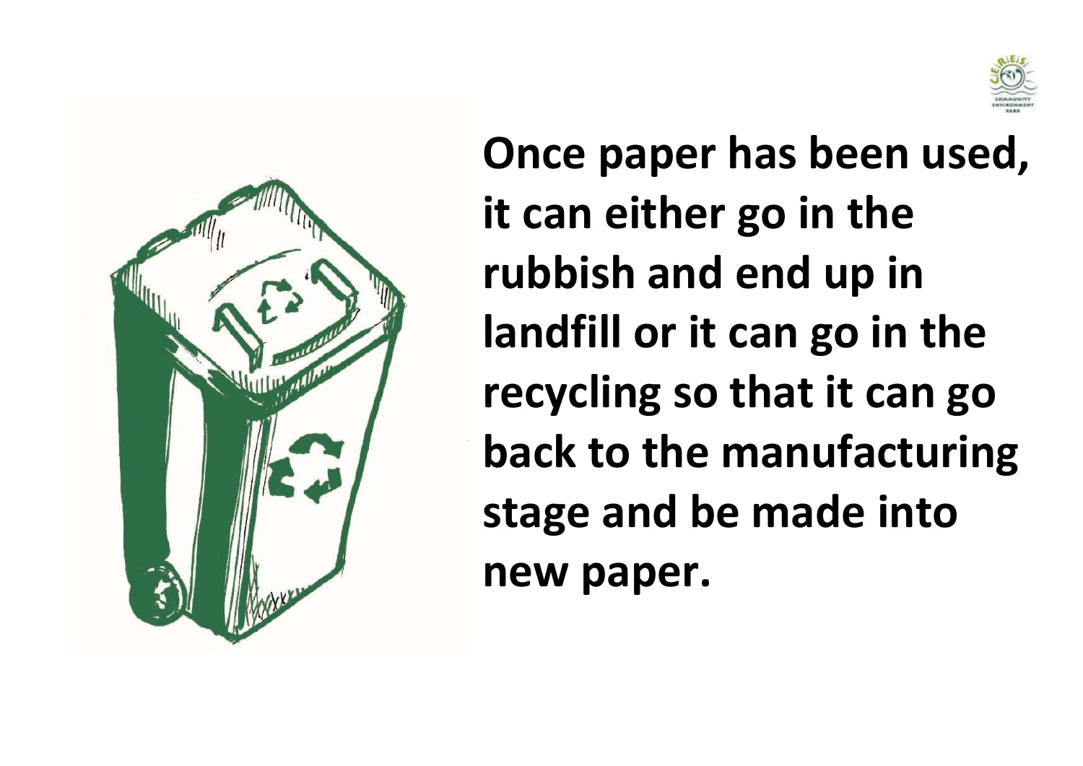



**Once paper has been used, it can either go in the rubbish and end up in landfill or it can go in the recycling so that it can go back to the manufacturing stage and be made into new paper.**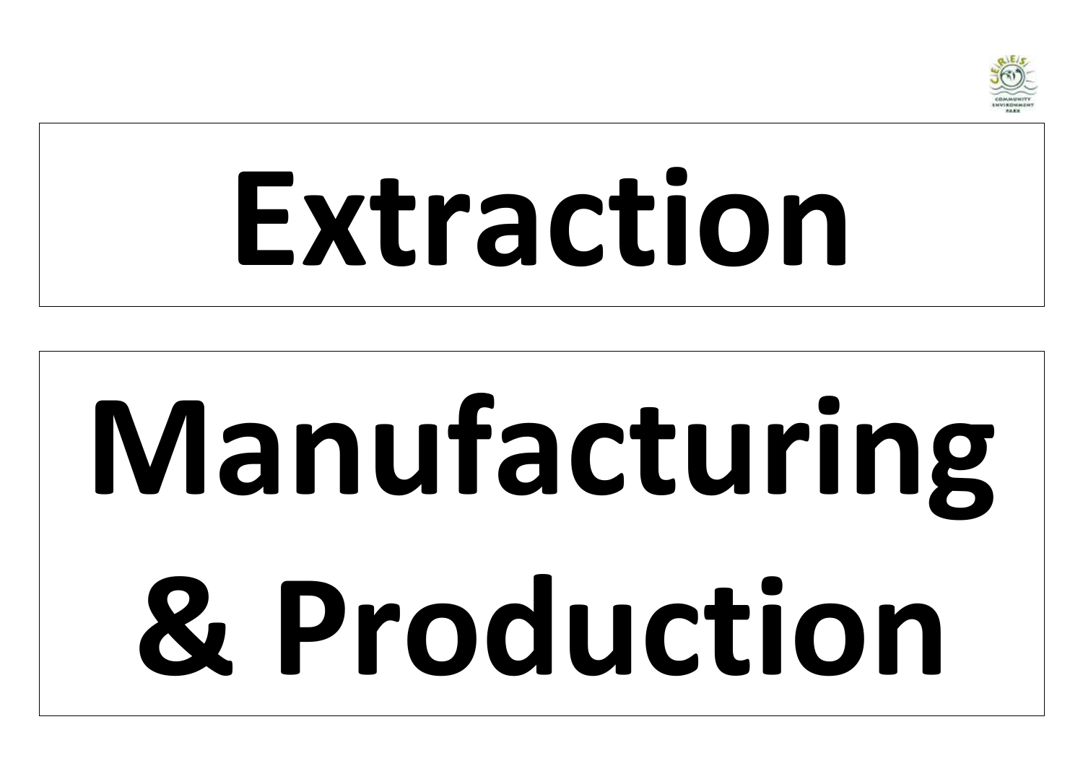

## **Extraction**

# **Manufacturing & Production**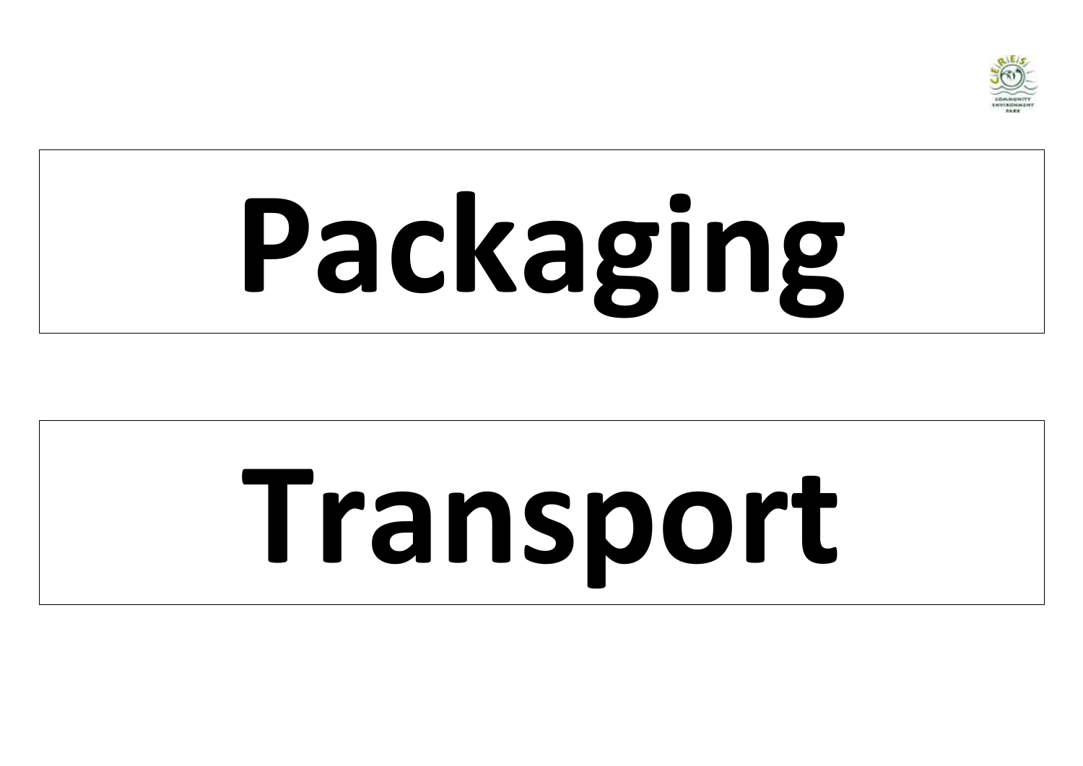

# **Packaging**

# **Transport**